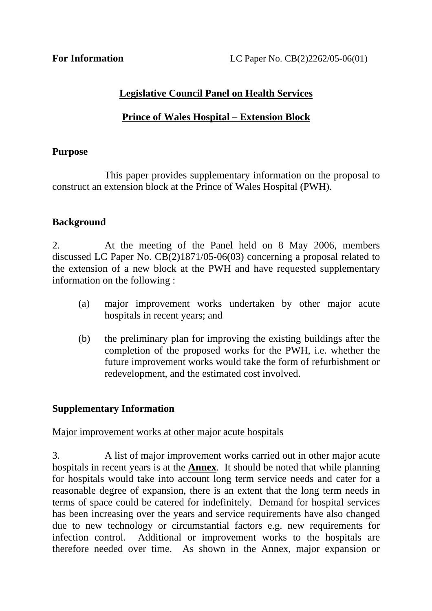# **Legislative Council Panel on Health Services**

# **Prince of Wales Hospital – Extension Block**

#### **Purpose**

 This paper provides supplementary information on the proposal to construct an extension block at the Prince of Wales Hospital (PWH).

# **Background**

2. At the meeting of the Panel held on 8 May 2006, members discussed LC Paper No. CB(2)1871/05-06(03) concerning a proposal related to the extension of a new block at the PWH and have requested supplementary information on the following :

- (a) major improvement works undertaken by other major acute hospitals in recent years; and
- (b) the preliminary plan for improving the existing buildings after the completion of the proposed works for the PWH, i.e. whether the future improvement works would take the form of refurbishment or redevelopment, and the estimated cost involved.

# **Supplementary Information**

#### Major improvement works at other major acute hospitals

3. A list of major improvement works carried out in other major acute hospitals in recent years is at the **Annex**. It should be noted that while planning for hospitals would take into account long term service needs and cater for a reasonable degree of expansion, there is an extent that the long term needs in terms of space could be catered for indefinitely. Demand for hospital services has been increasing over the years and service requirements have also changed due to new technology or circumstantial factors e.g. new requirements for infection control. Additional or improvement works to the hospitals are therefore needed over time. As shown in the Annex, major expansion or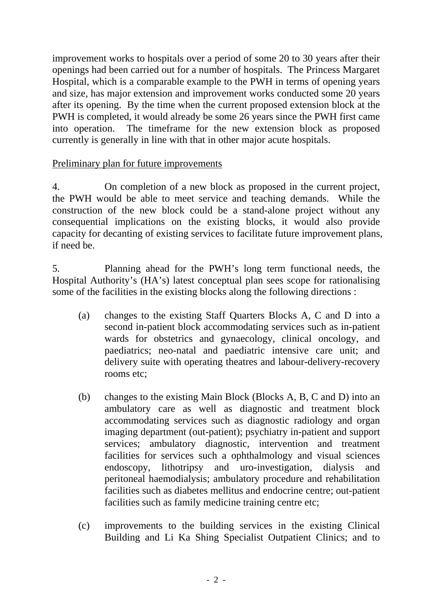improvement works to hospitals over a period of some 20 to 30 years after their openings had been carried out for a number of hospitals. The Princess Margaret Hospital, which is a comparable example to the PWH in terms of opening years and size, has major extension and improvement works conducted some 20 years after its opening. By the time when the current proposed extension block at the PWH is completed, it would already be some 26 years since the PWH first came into operation. The timeframe for the new extension block as proposed currently is generally in line with that in other major acute hospitals.

# Preliminary plan for future improvements

4. On completion of a new block as proposed in the current project, the PWH would be able to meet service and teaching demands. While the construction of the new block could be a stand-alone project without any consequential implications on the existing blocks, it would also provide capacity for decanting of existing services to facilitate future improvement plans, if need be.

5. Planning ahead for the PWH's long term functional needs, the Hospital Authority's (HA's) latest conceptual plan sees scope for rationalising some of the facilities in the existing blocks along the following directions :

- (a) changes to the existing Staff Quarters Blocks A, C and D into a second in-patient block accommodating services such as in-patient wards for obstetrics and gynaecology, clinical oncology, and paediatrics; neo-natal and paediatric intensive care unit; and delivery suite with operating theatres and labour-delivery-recovery rooms etc;
- (b) changes to the existing Main Block (Blocks A, B, C and D) into an ambulatory care as well as diagnostic and treatment block accommodating services such as diagnostic radiology and organ imaging department (out-patient); psychiatry in-patient and support services; ambulatory diagnostic, intervention and treatment facilities for services such a ophthalmology and visual sciences endoscopy, lithotripsy and uro-investigation, dialysis and peritoneal haemodialysis; ambulatory procedure and rehabilitation facilities such as diabetes mellitus and endocrine centre; out-patient facilities such as family medicine training centre etc;
- (c) improvements to the building services in the existing Clinical Building and Li Ka Shing Specialist Outpatient Clinics; and to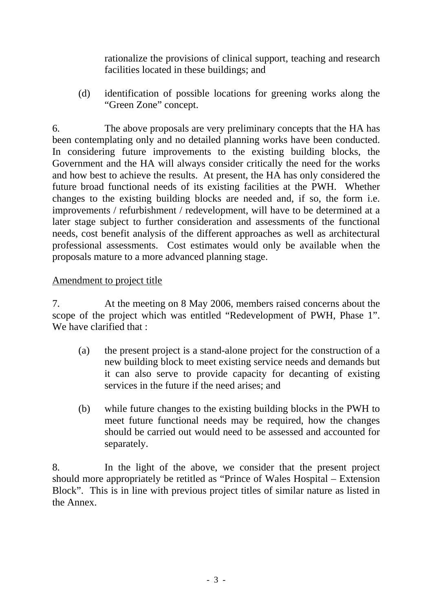rationalize the provisions of clinical support, teaching and research facilities located in these buildings; and

(d) identification of possible locations for greening works along the "Green Zone" concept.

6. The above proposals are very preliminary concepts that the HA has been contemplating only and no detailed planning works have been conducted. In considering future improvements to the existing building blocks, the Government and the HA will always consider critically the need for the works and how best to achieve the results. At present, the HA has only considered the future broad functional needs of its existing facilities at the PWH. Whether changes to the existing building blocks are needed and, if so, the form i.e. improvements / refurbishment / redevelopment, will have to be determined at a later stage subject to further consideration and assessments of the functional needs, cost benefit analysis of the different approaches as well as architectural professional assessments. Cost estimates would only be available when the proposals mature to a more advanced planning stage.

#### Amendment to project title

7. At the meeting on 8 May 2006, members raised concerns about the scope of the project which was entitled "Redevelopment of PWH, Phase 1". We have clarified that :

- (a) the present project is a stand-alone project for the construction of a new building block to meet existing service needs and demands but it can also serve to provide capacity for decanting of existing services in the future if the need arises; and
- (b) while future changes to the existing building blocks in the PWH to meet future functional needs may be required, how the changes should be carried out would need to be assessed and accounted for separately.

8. In the light of the above, we consider that the present project should more appropriately be retitled as "Prince of Wales Hospital – Extension Block". This is in line with previous project titles of similar nature as listed in the Annex.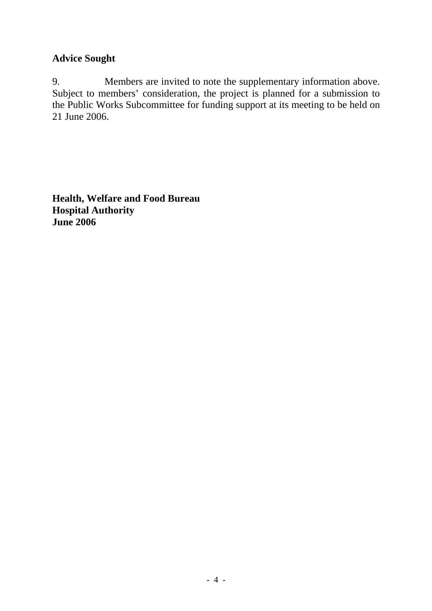#### **Advice Sought**

9. Members are invited to note the supplementary information above. Subject to members' consideration, the project is planned for a submission to the Public Works Subcommittee for funding support at its meeting to be held on 21 June 2006.

**Health, Welfare and Food Bureau Hospital Authority June 2006**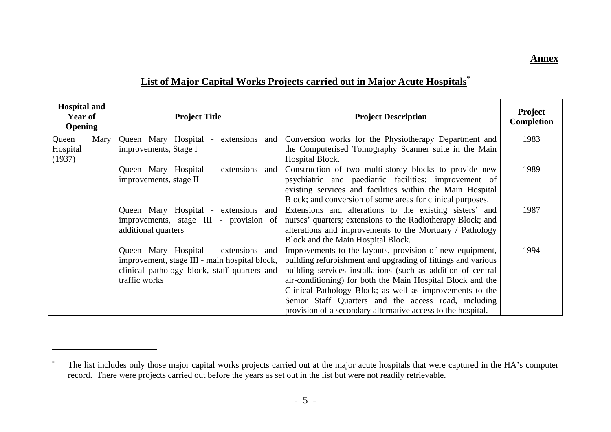#### **Annex**

# **List of Major Capital Works Projects carried out in Major Acute Hospitals\***

| <b>Hospital and</b><br>Year of<br><b>Opening</b> |      | <b>Project Title</b>                                    | <b>Project Description</b>                                   | Project<br><b>Completion</b> |
|--------------------------------------------------|------|---------------------------------------------------------|--------------------------------------------------------------|------------------------------|
| Queen                                            | Mary | Queen Mary Hospital - extensions<br>and                 | Conversion works for the Physiotherapy Department and        | 1983                         |
| Hospital                                         |      | improvements, Stage I                                   | the Computerised Tomography Scanner suite in the Main        |                              |
| (1937)                                           |      |                                                         | Hospital Block.                                              |                              |
|                                                  |      | Queen Mary Hospital<br>extensions and<br>$\sim$ $^{-1}$ | Construction of two multi-storey blocks to provide new       | 1989                         |
|                                                  |      | improvements, stage II                                  | psychiatric and paediatric facilities; improvement of        |                              |
|                                                  |      |                                                         | existing services and facilities within the Main Hospital    |                              |
|                                                  |      |                                                         | Block; and conversion of some areas for clinical purposes.   |                              |
|                                                  |      | Queen Mary Hospital - extensions and                    | Extensions and alterations to the existing sisters' and      | 1987                         |
|                                                  |      | improvements, stage III - provision of                  | nurses' quarters; extensions to the Radiotherapy Block; and  |                              |
|                                                  |      | additional quarters                                     | alterations and improvements to the Mortuary / Pathology     |                              |
|                                                  |      |                                                         | Block and the Main Hospital Block.                           |                              |
|                                                  |      | Queen Mary Hospital - extensions and                    | Improvements to the layouts, provision of new equipment,     | 1994                         |
|                                                  |      | improvement, stage III - main hospital block,           | building refurbishment and upgrading of fittings and various |                              |
|                                                  |      | clinical pathology block, staff quarters and            | building services installations (such as addition of central |                              |
|                                                  |      | traffic works                                           | air-conditioning) for both the Main Hospital Block and the   |                              |
|                                                  |      |                                                         | Clinical Pathology Block; as well as improvements to the     |                              |
|                                                  |      |                                                         | Senior Staff Quarters and the access road, including         |                              |
|                                                  |      |                                                         | provision of a secondary alternative access to the hospital. |                              |

<sup>\*</sup> The list includes only those major capital works projects carried out at the major acute hospitals that were captured in the HA's computer record. There were projects carried out before the years as set out in the list but were not readily retrievable.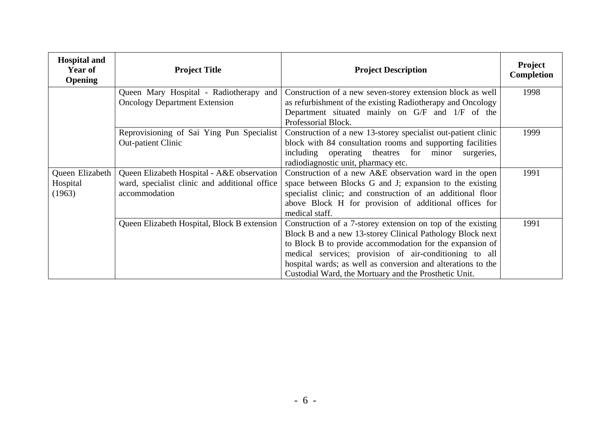| <b>Hospital and</b><br><b>Year of</b><br><b>Opening</b> | <b>Project Title</b>                                                                                         | <b>Project Description</b>                                                                                                                                                                                                                                                                                                                                              | <b>Project</b><br><b>Completion</b> |
|---------------------------------------------------------|--------------------------------------------------------------------------------------------------------------|-------------------------------------------------------------------------------------------------------------------------------------------------------------------------------------------------------------------------------------------------------------------------------------------------------------------------------------------------------------------------|-------------------------------------|
|                                                         | Queen Mary Hospital - Radiotherapy and<br><b>Oncology Department Extension</b>                               | Construction of a new seven-storey extension block as well<br>as refurbishment of the existing Radiotherapy and Oncology<br>Department situated mainly on G/F and 1/F of the<br>Professorial Block.                                                                                                                                                                     | 1998                                |
|                                                         | Reprovisioning of Sai Ying Pun Specialist<br><b>Out-patient Clinic</b>                                       | Construction of a new 13-storey specialist out-patient clinic<br>block with 84 consultation rooms and supporting facilities<br>including operating theatres for minor surgeries,<br>radiodiagnostic unit, pharmacy etc.                                                                                                                                                 | 1999                                |
| Queen Elizabeth<br>Hospital<br>(1963)                   | Queen Elizabeth Hospital - A&E observation<br>ward, specialist clinic and additional office<br>accommodation | Construction of a new A&E observation ward in the open<br>space between Blocks G and J; expansion to the existing<br>specialist clinic; and construction of an additional floor<br>above Block H for provision of additional offices for<br>medical staff.                                                                                                              | 1991                                |
|                                                         | Queen Elizabeth Hospital, Block B extension                                                                  | Construction of a 7-storey extension on top of the existing<br>Block B and a new 13-storey Clinical Pathology Block next<br>to Block B to provide accommodation for the expansion of<br>medical services; provision of air-conditioning to all<br>hospital wards; as well as conversion and alterations to the<br>Custodial Ward, the Mortuary and the Prosthetic Unit. | 1991                                |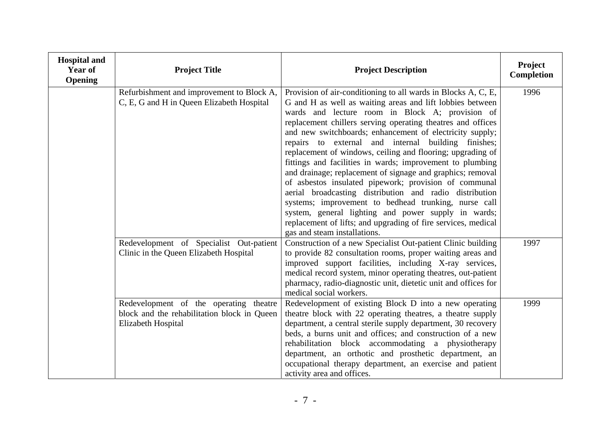| <b>Hospital and</b><br>Year of<br><b>Opening</b> | <b>Project Title</b>                                                                                        | <b>Project Description</b>                                                                                                                                                                                                                                                                                                                                                                                                                                                                                                                                                                                                                                                                                                                                                                                                                                                                   | Project<br>Completion |
|--------------------------------------------------|-------------------------------------------------------------------------------------------------------------|----------------------------------------------------------------------------------------------------------------------------------------------------------------------------------------------------------------------------------------------------------------------------------------------------------------------------------------------------------------------------------------------------------------------------------------------------------------------------------------------------------------------------------------------------------------------------------------------------------------------------------------------------------------------------------------------------------------------------------------------------------------------------------------------------------------------------------------------------------------------------------------------|-----------------------|
|                                                  | Refurbishment and improvement to Block A,<br>C, E, G and H in Queen Elizabeth Hospital                      | Provision of air-conditioning to all wards in Blocks A, C, E,<br>G and H as well as waiting areas and lift lobbies between<br>wards and lecture room in Block A; provision of<br>replacement chillers serving operating theatres and offices<br>and new switchboards; enhancement of electricity supply;<br>repairs to external and internal building finishes;<br>replacement of windows, ceiling and flooring; upgrading of<br>fittings and facilities in wards; improvement to plumbing<br>and drainage; replacement of signage and graphics; removal<br>of asbestos insulated pipework; provision of communal<br>aerial broadcasting distribution and radio distribution<br>systems; improvement to bedhead trunking, nurse call<br>system, general lighting and power supply in wards;<br>replacement of lifts; and upgrading of fire services, medical<br>gas and steam installations. | 1996                  |
|                                                  | Redevelopment of Specialist Out-patient<br>Clinic in the Queen Elizabeth Hospital                           | Construction of a new Specialist Out-patient Clinic building<br>to provide 82 consultation rooms, proper waiting areas and<br>improved support facilities, including X-ray services,<br>medical record system, minor operating theatres, out-patient<br>pharmacy, radio-diagnostic unit, dietetic unit and offices for<br>medical social workers.                                                                                                                                                                                                                                                                                                                                                                                                                                                                                                                                            | 1997                  |
|                                                  | Redevelopment of the operating theatre<br>block and the rehabilitation block in Queen<br>Elizabeth Hospital | Redevelopment of existing Block D into a new operating<br>theatre block with 22 operating theatres, a theatre supply<br>department, a central sterile supply department, 30 recovery<br>beds, a burns unit and offices; and construction of a new<br>rehabilitation block accommodating a physiotherapy<br>department, an orthotic and prosthetic department, an<br>occupational therapy department, an exercise and patient<br>activity area and offices.                                                                                                                                                                                                                                                                                                                                                                                                                                   | 1999                  |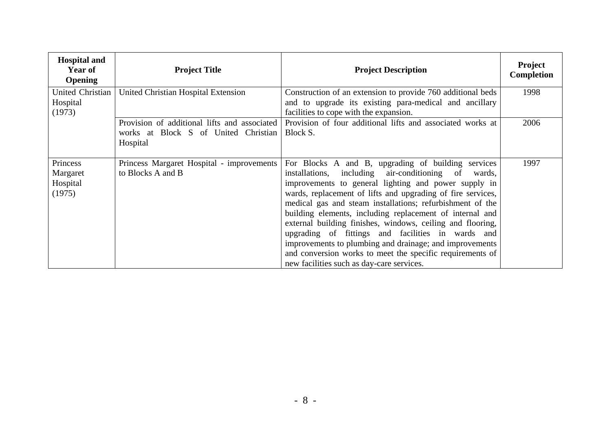| <b>Hospital and</b><br><b>Year of</b><br><b>Opening</b> | <b>Project Title</b>                                                                             | <b>Project Description</b>                                                                                                                                                                                                                                                                                                                                                                                                                                                                                                                                                                                                                           | <b>Project</b><br><b>Completion</b> |
|---------------------------------------------------------|--------------------------------------------------------------------------------------------------|------------------------------------------------------------------------------------------------------------------------------------------------------------------------------------------------------------------------------------------------------------------------------------------------------------------------------------------------------------------------------------------------------------------------------------------------------------------------------------------------------------------------------------------------------------------------------------------------------------------------------------------------------|-------------------------------------|
| United Christian<br>Hospital<br>(1973)                  | United Christian Hospital Extension                                                              | Construction of an extension to provide 760 additional beds<br>and to upgrade its existing para-medical and ancillary<br>facilities to cope with the expansion.                                                                                                                                                                                                                                                                                                                                                                                                                                                                                      | 1998                                |
|                                                         | Provision of additional lifts and associated<br>works at Block S of United Christian<br>Hospital | Provision of four additional lifts and associated works at<br>Block S.                                                                                                                                                                                                                                                                                                                                                                                                                                                                                                                                                                               | 2006                                |
| Princess<br>Margaret<br>Hospital<br>(1975)              | Princess Margaret Hospital - improvements<br>to Blocks A and B                                   | For Blocks A and B, upgrading of building services<br>installations, including air-conditioning of<br>wards,<br>improvements to general lighting and power supply in<br>wards, replacement of lifts and upgrading of fire services,<br>medical gas and steam installations; refurbishment of the<br>building elements, including replacement of internal and<br>external building finishes, windows, ceiling and flooring,<br>upgrading of fittings and facilities in wards and<br>improvements to plumbing and drainage; and improvements<br>and conversion works to meet the specific requirements of<br>new facilities such as day-care services. | 1997                                |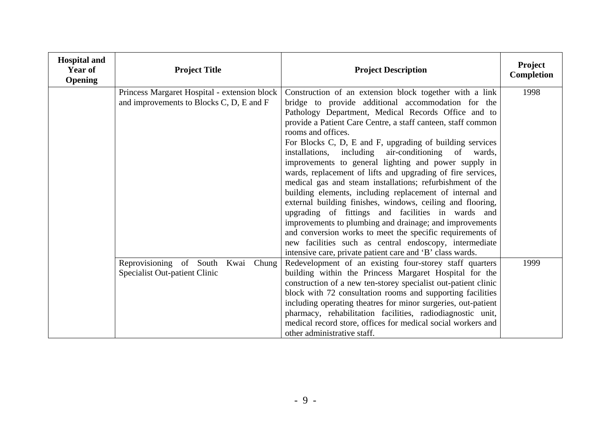| <b>Hospital and</b><br>Year of<br><b>Opening</b> | <b>Project Title</b>                                                                     | <b>Project Description</b>                                                                                                                                                                                                                                                                                                                                                                                                                                                                                                                                                                                                                                                                                                                                                                                                                                                                                                         | Project<br>Completion |
|--------------------------------------------------|------------------------------------------------------------------------------------------|------------------------------------------------------------------------------------------------------------------------------------------------------------------------------------------------------------------------------------------------------------------------------------------------------------------------------------------------------------------------------------------------------------------------------------------------------------------------------------------------------------------------------------------------------------------------------------------------------------------------------------------------------------------------------------------------------------------------------------------------------------------------------------------------------------------------------------------------------------------------------------------------------------------------------------|-----------------------|
|                                                  | Princess Margaret Hospital - extension block<br>and improvements to Blocks C, D, E and F | Construction of an extension block together with a link<br>bridge to provide additional accommodation for the<br>Pathology Department, Medical Records Office and to<br>provide a Patient Care Centre, a staff canteen, staff common<br>rooms and offices.<br>For Blocks C, D, E and F, upgrading of building services<br>installations, including air-conditioning of wards,<br>improvements to general lighting and power supply in<br>wards, replacement of lifts and upgrading of fire services,<br>medical gas and steam installations; refurbishment of the<br>building elements, including replacement of internal and<br>external building finishes, windows, ceiling and flooring,<br>upgrading of fittings and facilities in wards and<br>improvements to plumbing and drainage; and improvements<br>and conversion works to meet the specific requirements of<br>new facilities such as central endoscopy, intermediate | 1998                  |
|                                                  | Reprovisioning of South Kwai Chung<br>Specialist Out-patient Clinic                      | intensive care, private patient care and 'B' class wards.<br>Redevelopment of an existing four-storey staff quarters<br>building within the Princess Margaret Hospital for the<br>construction of a new ten-storey specialist out-patient clinic<br>block with 72 consultation rooms and supporting facilities<br>including operating theatres for minor surgeries, out-patient<br>pharmacy, rehabilitation facilities, radiodiagnostic unit,<br>medical record store, offices for medical social workers and<br>other administrative staff.                                                                                                                                                                                                                                                                                                                                                                                       | 1999                  |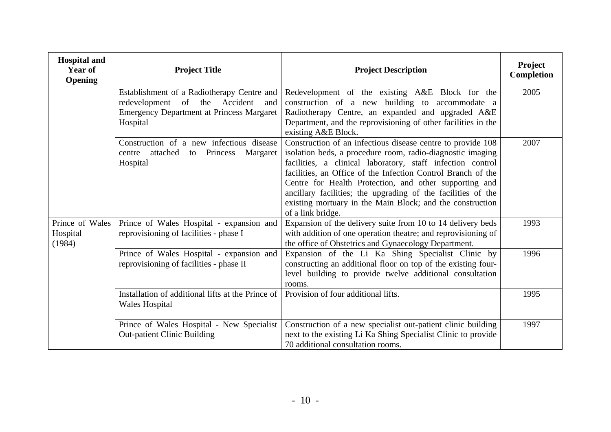| <b>Hospital and</b><br>Year of<br><b>Opening</b> | <b>Project Title</b>                                                                                                                               | <b>Project Description</b>                                                                                                                                                                                                                                                                                                                                                                                                                                          | Project<br>Completion |
|--------------------------------------------------|----------------------------------------------------------------------------------------------------------------------------------------------------|---------------------------------------------------------------------------------------------------------------------------------------------------------------------------------------------------------------------------------------------------------------------------------------------------------------------------------------------------------------------------------------------------------------------------------------------------------------------|-----------------------|
|                                                  | Establishment of a Radiotherapy Centre and<br>redevelopment of the Accident<br>and<br><b>Emergency Department at Princess Margaret</b><br>Hospital | Redevelopment of the existing A&E Block for the<br>construction of a new building to accommodate a<br>Radiotherapy Centre, an expanded and upgraded A&E<br>Department, and the reprovisioning of other facilities in the<br>existing A&E Block.                                                                                                                                                                                                                     | 2005                  |
|                                                  | Construction of a new infectious disease<br>attached to Princess<br>Margaret<br>centre<br>Hospital                                                 | Construction of an infectious disease centre to provide 108<br>isolation beds, a procedure room, radio-diagnostic imaging<br>facilities, a clinical laboratory, staff infection control<br>facilities, an Office of the Infection Control Branch of the<br>Centre for Health Protection, and other supporting and<br>ancillary facilities; the upgrading of the facilities of the<br>existing mortuary in the Main Block; and the construction<br>of a link bridge. | 2007                  |
| Prince of Wales<br>Hospital<br>(1984)            | Prince of Wales Hospital - expansion and<br>reprovisioning of facilities - phase I                                                                 | Expansion of the delivery suite from 10 to 14 delivery beds<br>with addition of one operation theatre; and reprovisioning of<br>the office of Obstetrics and Gynaecology Department.                                                                                                                                                                                                                                                                                | 1993                  |
|                                                  | Prince of Wales Hospital - expansion and<br>reprovisioning of facilities - phase II                                                                | Expansion of the Li Ka Shing Specialist Clinic by<br>constructing an additional floor on top of the existing four-<br>level building to provide twelve additional consultation<br>rooms.                                                                                                                                                                                                                                                                            | 1996                  |
|                                                  | Installation of additional lifts at the Prince of<br><b>Wales Hospital</b>                                                                         | Provision of four additional lifts.                                                                                                                                                                                                                                                                                                                                                                                                                                 | 1995                  |
|                                                  | Prince of Wales Hospital - New Specialist<br><b>Out-patient Clinic Building</b>                                                                    | Construction of a new specialist out-patient clinic building<br>next to the existing Li Ka Shing Specialist Clinic to provide<br>70 additional consultation rooms.                                                                                                                                                                                                                                                                                                  | 1997                  |